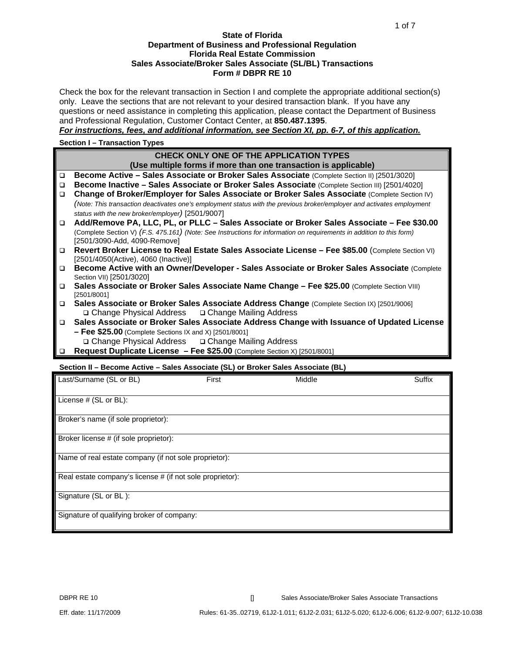#### **State of Florida Department of Business and Professional Regulation Florida Real Estate Commission Sales Associate/Broker Sales Associate (SL/BL) Transactions Form # DBPR RE 10**

Check the box for the relevant transaction in Section I and complete the appropriate additional section(s) only. Leave the sections that are not relevant to your desired transaction blank. If you have any questions or need assistance in completing this application, please contact the Department of Business and Professional Regulation, Customer Contact Center, at **850.487.1395**.

*For instructions, fees, and additional information, see Section XI, pp. 6-7, of this application.*

#### **Section I – Transaction Types**

| CHECK ONLY ONE OF THE APPLICATION TYPES<br>(Use multiple forms if more than one transaction is applicable)<br>Become Active - Sales Associate or Broker Sales Associate (Complete Section II) [2501/3020]<br>$\Box$<br>Become Inactive - Sales Associate or Broker Sales Associate (Complete Section III) [2501/4020]<br>□<br>Change of Broker/Employer for Sales Associate or Broker Sales Associate (Complete Section IV)<br>$\Box$<br>(Note: This transaction deactivates one's employment status with the previous broker/employer and activates employment<br>status with the new broker/employer) [2501/9007]<br>Add/Remove PA, LLC, PL, or PLLC - Sales Associate or Broker Sales Associate - Fee \$30.00<br>$\Box$<br>(Complete Section V) (F.S. 475.161) (Note: See Instructions for information on requirements in addition to this form)<br>[2501/3090-Add, 4090-Remove]<br>Revert Broker License to Real Estate Sales Associate License - Fee \$85.00 (Complete Section VI)<br>$\Box$<br>[2501/4050(Active), 4060 (Inactive)]<br>Become Active with an Owner/Developer - Sales Associate or Broker Sales Associate (Complete<br>$\Box$<br>Section VII) [2501/3020]<br>Sales Associate or Broker Sales Associate Name Change - Fee \$25.00 (Complete Section VIII)<br>$\Box$<br>[2501/8001]<br>Sales Associate or Broker Sales Associate Address Change (Complete Section IX) [2501/9006]<br>$\Box$<br><b>□ Change Physical Address</b> □ Change Mailing Address<br>Sales Associate or Broker Sales Associate Address Change with Issuance of Updated License<br>□<br>$-$ Fee \$25.00 (Complete Sections IX and X) [2501/8001]<br><b>□ Change Physical Address</b> □ Change Mailing Address<br>Request Duplicate License - Fee \$25.00 (Complete Section X) [2501/8001]<br>$\Box$<br>Section II - Become Active - Sales Associate (SL) or Broker Sales Associate (BL) |  |
|----------------------------------------------------------------------------------------------------------------------------------------------------------------------------------------------------------------------------------------------------------------------------------------------------------------------------------------------------------------------------------------------------------------------------------------------------------------------------------------------------------------------------------------------------------------------------------------------------------------------------------------------------------------------------------------------------------------------------------------------------------------------------------------------------------------------------------------------------------------------------------------------------------------------------------------------------------------------------------------------------------------------------------------------------------------------------------------------------------------------------------------------------------------------------------------------------------------------------------------------------------------------------------------------------------------------------------------------------------------------------------------------------------------------------------------------------------------------------------------------------------------------------------------------------------------------------------------------------------------------------------------------------------------------------------------------------------------------------------------------------------------------------------------------------------------------------------------------------------------------------------|--|
|                                                                                                                                                                                                                                                                                                                                                                                                                                                                                                                                                                                                                                                                                                                                                                                                                                                                                                                                                                                                                                                                                                                                                                                                                                                                                                                                                                                                                                                                                                                                                                                                                                                                                                                                                                                                                                                                                  |  |
|                                                                                                                                                                                                                                                                                                                                                                                                                                                                                                                                                                                                                                                                                                                                                                                                                                                                                                                                                                                                                                                                                                                                                                                                                                                                                                                                                                                                                                                                                                                                                                                                                                                                                                                                                                                                                                                                                  |  |
|                                                                                                                                                                                                                                                                                                                                                                                                                                                                                                                                                                                                                                                                                                                                                                                                                                                                                                                                                                                                                                                                                                                                                                                                                                                                                                                                                                                                                                                                                                                                                                                                                                                                                                                                                                                                                                                                                  |  |
|                                                                                                                                                                                                                                                                                                                                                                                                                                                                                                                                                                                                                                                                                                                                                                                                                                                                                                                                                                                                                                                                                                                                                                                                                                                                                                                                                                                                                                                                                                                                                                                                                                                                                                                                                                                                                                                                                  |  |
|                                                                                                                                                                                                                                                                                                                                                                                                                                                                                                                                                                                                                                                                                                                                                                                                                                                                                                                                                                                                                                                                                                                                                                                                                                                                                                                                                                                                                                                                                                                                                                                                                                                                                                                                                                                                                                                                                  |  |
|                                                                                                                                                                                                                                                                                                                                                                                                                                                                                                                                                                                                                                                                                                                                                                                                                                                                                                                                                                                                                                                                                                                                                                                                                                                                                                                                                                                                                                                                                                                                                                                                                                                                                                                                                                                                                                                                                  |  |
|                                                                                                                                                                                                                                                                                                                                                                                                                                                                                                                                                                                                                                                                                                                                                                                                                                                                                                                                                                                                                                                                                                                                                                                                                                                                                                                                                                                                                                                                                                                                                                                                                                                                                                                                                                                                                                                                                  |  |
|                                                                                                                                                                                                                                                                                                                                                                                                                                                                                                                                                                                                                                                                                                                                                                                                                                                                                                                                                                                                                                                                                                                                                                                                                                                                                                                                                                                                                                                                                                                                                                                                                                                                                                                                                                                                                                                                                  |  |
|                                                                                                                                                                                                                                                                                                                                                                                                                                                                                                                                                                                                                                                                                                                                                                                                                                                                                                                                                                                                                                                                                                                                                                                                                                                                                                                                                                                                                                                                                                                                                                                                                                                                                                                                                                                                                                                                                  |  |
|                                                                                                                                                                                                                                                                                                                                                                                                                                                                                                                                                                                                                                                                                                                                                                                                                                                                                                                                                                                                                                                                                                                                                                                                                                                                                                                                                                                                                                                                                                                                                                                                                                                                                                                                                                                                                                                                                  |  |
|                                                                                                                                                                                                                                                                                                                                                                                                                                                                                                                                                                                                                                                                                                                                                                                                                                                                                                                                                                                                                                                                                                                                                                                                                                                                                                                                                                                                                                                                                                                                                                                                                                                                                                                                                                                                                                                                                  |  |
|                                                                                                                                                                                                                                                                                                                                                                                                                                                                                                                                                                                                                                                                                                                                                                                                                                                                                                                                                                                                                                                                                                                                                                                                                                                                                                                                                                                                                                                                                                                                                                                                                                                                                                                                                                                                                                                                                  |  |
|                                                                                                                                                                                                                                                                                                                                                                                                                                                                                                                                                                                                                                                                                                                                                                                                                                                                                                                                                                                                                                                                                                                                                                                                                                                                                                                                                                                                                                                                                                                                                                                                                                                                                                                                                                                                                                                                                  |  |
|                                                                                                                                                                                                                                                                                                                                                                                                                                                                                                                                                                                                                                                                                                                                                                                                                                                                                                                                                                                                                                                                                                                                                                                                                                                                                                                                                                                                                                                                                                                                                                                                                                                                                                                                                                                                                                                                                  |  |
|                                                                                                                                                                                                                                                                                                                                                                                                                                                                                                                                                                                                                                                                                                                                                                                                                                                                                                                                                                                                                                                                                                                                                                                                                                                                                                                                                                                                                                                                                                                                                                                                                                                                                                                                                                                                                                                                                  |  |
|                                                                                                                                                                                                                                                                                                                                                                                                                                                                                                                                                                                                                                                                                                                                                                                                                                                                                                                                                                                                                                                                                                                                                                                                                                                                                                                                                                                                                                                                                                                                                                                                                                                                                                                                                                                                                                                                                  |  |
|                                                                                                                                                                                                                                                                                                                                                                                                                                                                                                                                                                                                                                                                                                                                                                                                                                                                                                                                                                                                                                                                                                                                                                                                                                                                                                                                                                                                                                                                                                                                                                                                                                                                                                                                                                                                                                                                                  |  |

| Last/Surname (SL or BL)                                   | First | Middle | Suffix |
|-----------------------------------------------------------|-------|--------|--------|
| License # (SL or BL):                                     |       |        |        |
|                                                           |       |        |        |
| Broker's name (if sole proprietor):                       |       |        |        |
| Broker license # (if sole proprietor):                    |       |        |        |
| Name of real estate company (if not sole proprietor):     |       |        |        |
| Real estate company's license # (if not sole proprietor): |       |        |        |
| Signature (SL or BL):                                     |       |        |        |
| Signature of qualifying broker of company:                |       |        |        |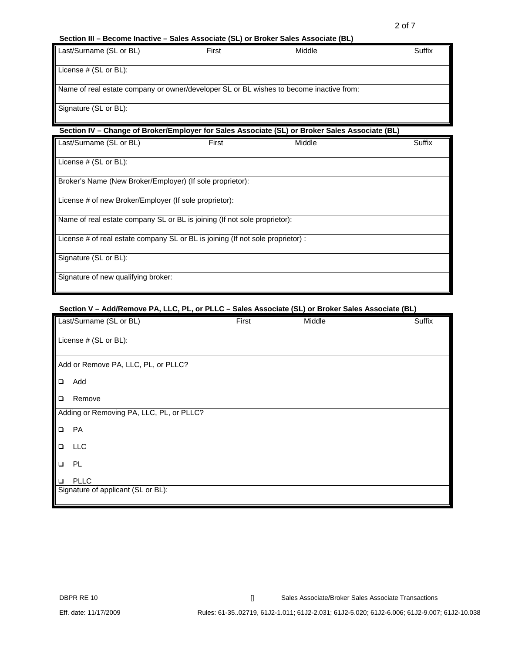#### **Section III – Become Inactive – Sales Associate (SL) or Broker Sales Associate (BL)**

| First | Middle | Suffix                                                                                  |
|-------|--------|-----------------------------------------------------------------------------------------|
|       |        |                                                                                         |
|       |        |                                                                                         |
|       |        |                                                                                         |
|       |        |                                                                                         |
|       |        | Name of real estate company or owner/developer SL or BL wishes to become inactive from: |

### **Section IV – Change of Broker/Employer for Sales Associate (SL) or Broker Sales Associate (BL)**

| Last/Surname (SL or BL)                                                         | First | Middle | Suffix |
|---------------------------------------------------------------------------------|-------|--------|--------|
| License $#$ (SL or BL):                                                         |       |        |        |
| Broker's Name (New Broker/Employer) (If sole proprietor):                       |       |        |        |
| License # of new Broker/Employer (If sole proprietor):                          |       |        |        |
| Name of real estate company SL or BL is joining (If not sole proprietor):       |       |        |        |
| License # of real estate company SL or BL is joining (If not sole proprietor) : |       |        |        |
| Signature (SL or BL):                                                           |       |        |        |
| Signature of new qualifying broker:                                             |       |        |        |

# **Section V – Add/Remove PA, LLC, PL, or PLLC – Sales Associate (SL) or Broker Sales Associate (BL)**

|        | Last/Surname (SL or BL)                  | First | Middle | Suffix |
|--------|------------------------------------------|-------|--------|--------|
|        | License # (SL or BL):                    |       |        |        |
|        | Add or Remove PA, LLC, PL, or PLLC?      |       |        |        |
| $\Box$ | Add                                      |       |        |        |
| $\Box$ | Remove                                   |       |        |        |
|        | Adding or Removing PA, LLC, PL, or PLLC? |       |        |        |
| $\Box$ | PA                                       |       |        |        |
| $\Box$ | LLC                                      |       |        |        |
| $\Box$ | PL.                                      |       |        |        |
| $\Box$ | <b>PLLC</b>                              |       |        |        |
|        | Signature of applicant (SL or BL):       |       |        |        |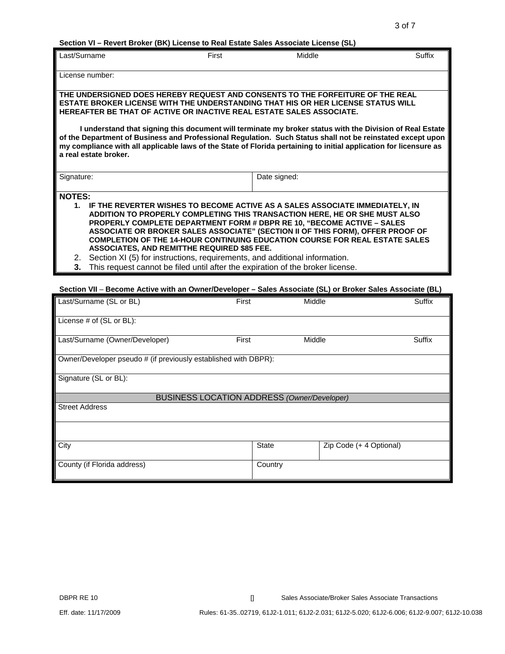**Section VI – Revert Broker (BK) License to Real Estate Sales Associate License (SL)** 

| Last/Surname    |                                                                                                                                                                      | First        | Middle | Suffix |
|-----------------|----------------------------------------------------------------------------------------------------------------------------------------------------------------------|--------------|--------|--------|
| License number: |                                                                                                                                                                      |              |        |        |
|                 |                                                                                                                                                                      |              |        |        |
|                 | THE UNDERSIGNED DOES HEREBY REQUEST AND CONSENTS TO THE FORFEITURE OF THE REAL                                                                                       |              |        |        |
|                 | ESTATE BROKER LICENSE WITH THE UNDERSTANDING THAT HIS OR HER LICENSE STATUS WILL<br>HEREAFTER BE THAT OF ACTIVE OR INACTIVE REAL ESTATE SALES ASSOCIATE.             |              |        |        |
|                 |                                                                                                                                                                      |              |        |        |
|                 | I understand that signing this document will terminate my broker status with the Division of Real Estate                                                             |              |        |        |
|                 | of the Department of Business and Professional Regulation. Such Status shall not be reinstated except upon                                                           |              |        |        |
|                 | my compliance with all applicable laws of the State of Florida pertaining to initial application for licensure as<br>a real estate broker.                           |              |        |        |
|                 |                                                                                                                                                                      |              |        |        |
| Signature:      |                                                                                                                                                                      | Date signed: |        |        |
|                 |                                                                                                                                                                      |              |        |        |
|                 | <b>NOTES:</b>                                                                                                                                                        |              |        |        |
|                 | 1. IF THE REVERTER WISHES TO BECOME ACTIVE AS A SALES ASSOCIATE IMMEDIATELY, IN                                                                                      |              |        |        |
|                 | ADDITION TO PROPERLY COMPLETING THIS TRANSACTION HERE, HE OR SHE MUST ALSO                                                                                           |              |        |        |
|                 | PROPERLY COMPLETE DEPARTMENT FORM # DBPR RE 10, "BECOME ACTIVE - SALES                                                                                               |              |        |        |
|                 | ASSOCIATE OR BROKER SALES ASSOCIATE" (SECTION II OF THIS FORM), OFFER PROOF OF<br><b>COMPLETION OF THE 14-HOUR CONTINUING EDUCATION COURSE FOR REAL ESTATE SALES</b> |              |        |        |
|                 | <b>ASSOCIATES, AND REMITTHE REQUIRED \$85 FEE.</b>                                                                                                                   |              |        |        |
| 2.              | Section XI (5) for instructions, requirements, and additional information.                                                                                           |              |        |        |
| 3.              | This request cannot be filed until after the expiration of the broker license.                                                                                       |              |        |        |
|                 |                                                                                                                                                                      |              |        |        |
|                 | Section VII - Become Active with an Owner/Developer - Sales Associate (SL) or Broker Sales Associate (BL)                                                            |              |        |        |

| Last/Surname (SL or BL)                                         | First        | Middle                                             | <b>Suffix</b> |
|-----------------------------------------------------------------|--------------|----------------------------------------------------|---------------|
| License # of (SL or BL):                                        |              |                                                    |               |
| Last/Surname (Owner/Developer)                                  | First        | Middle                                             | Suffix        |
| Owner/Developer pseudo # (if previously established with DBPR): |              |                                                    |               |
| Signature (SL or BL):                                           |              |                                                    |               |
|                                                                 |              | <b>BUSINESS LOCATION ADDRESS (Owner/Developer)</b> |               |
| <b>Street Address</b>                                           |              |                                                    |               |
|                                                                 |              |                                                    |               |
|                                                                 |              |                                                    |               |
| City                                                            | <b>State</b> | Zip Code (+ 4 Optional)                            |               |
| County (if Florida address)                                     | Country      |                                                    |               |

DBPR RE 10 **DBPR RE 10 Example 20 [I** Sales Associate/Broker Sales Associate Transactions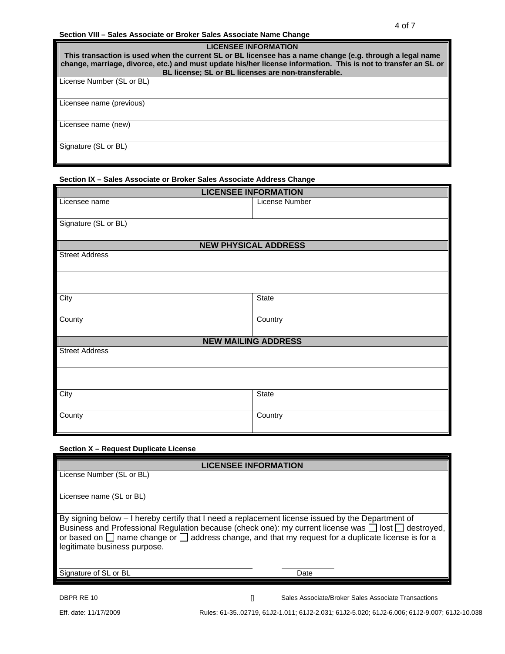#### 4 of 7 **Section VIII – Sales Associate or Broker Sales Associate Name Change**

| <b>LICENSEE INFORMATION</b><br>This transaction is used when the current SL or BL licensee has a name change (e.g. through a legal name<br>change, marriage, divorce, etc.) and must update his/her license information. This is not to transfer an SL or<br>BL license; SL or BL licenses are non-transferable. |  |  |
|------------------------------------------------------------------------------------------------------------------------------------------------------------------------------------------------------------------------------------------------------------------------------------------------------------------|--|--|
| License Number (SL or BL)                                                                                                                                                                                                                                                                                        |  |  |
| Licensee name (previous)                                                                                                                                                                                                                                                                                         |  |  |
| Licensee name (new)                                                                                                                                                                                                                                                                                              |  |  |
| Signature (SL or BL)                                                                                                                                                                                                                                                                                             |  |  |

### **Section IX – Sales Associate or Broker Sales Associate Address Change**

| <b>LICENSEE INFORMATION</b> |                             |  |  |
|-----------------------------|-----------------------------|--|--|
| Licensee name               | License Number              |  |  |
|                             |                             |  |  |
| Signature (SL or BL)        |                             |  |  |
|                             |                             |  |  |
|                             | <b>NEW PHYSICAL ADDRESS</b> |  |  |
| <b>Street Address</b>       |                             |  |  |
|                             |                             |  |  |
|                             |                             |  |  |
|                             |                             |  |  |
| City                        | State                       |  |  |
|                             |                             |  |  |
| County                      | Country                     |  |  |
|                             |                             |  |  |
| <b>NEW MAILING ADDRESS</b>  |                             |  |  |
| <b>Street Address</b>       |                             |  |  |
|                             |                             |  |  |
|                             |                             |  |  |
|                             |                             |  |  |
| City                        | State                       |  |  |
|                             |                             |  |  |
| County                      | Country                     |  |  |
|                             |                             |  |  |

#### **Section X – Request Duplicate License**

| <b>LICENSEE INFORMATION</b>                                                                                                                                                                                                                                                                                                                                          |  |  |
|----------------------------------------------------------------------------------------------------------------------------------------------------------------------------------------------------------------------------------------------------------------------------------------------------------------------------------------------------------------------|--|--|
| License Number (SL or BL)                                                                                                                                                                                                                                                                                                                                            |  |  |
|                                                                                                                                                                                                                                                                                                                                                                      |  |  |
| Licensee name (SL or BL)                                                                                                                                                                                                                                                                                                                                             |  |  |
|                                                                                                                                                                                                                                                                                                                                                                      |  |  |
| By signing below - I hereby certify that I need a replacement license issued by the Department of<br>Business and Professional Regulation because (check one): my current license was $\Box$ lost $\Box$ destroyed,<br>or based on $\Box$ name change or $\Box$ address change, and that my request for a duplicate license is for a<br>legitimate business purpose. |  |  |
| Signature of SL or BL<br>Date                                                                                                                                                                                                                                                                                                                                        |  |  |

DBPR RE 10 **DBPR RE 10 Example 2 CONSUMING CONSUMING CONSUMING CONSUMING CONSUMING CONSUMING CONSUMING CONSUMING CONSUMING CONSUMING CONSUMING CONSUMING CONSUMING CONSUMING CONSUMING CONSUMING CONSUMING CONSUMING CONSU** 

Eff. date: 11/17/2009 Rules: 61-35..02719, 61J2-1.011; 61J2-2.031; 61J2-5.020; 61J2-6.006; 61J2-9.007; 61J2-10.038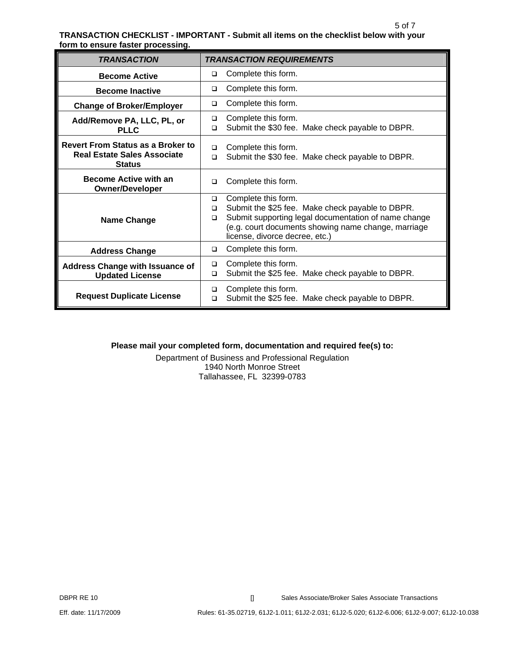#### 5 of 7 **TRANSACTION CHECKLIST - IMPORTANT - Submit all items on the checklist below with your form to ensure faster processing.**

| <b>TRANSACTION</b>                                                                              | <b>TRANSACTION REQUIREMENTS</b>                                                                                                                                                                                                                        |
|-------------------------------------------------------------------------------------------------|--------------------------------------------------------------------------------------------------------------------------------------------------------------------------------------------------------------------------------------------------------|
| <b>Become Active</b>                                                                            | Complete this form.<br>□                                                                                                                                                                                                                               |
| <b>Become Inactive</b>                                                                          | Complete this form.<br>$\Box$                                                                                                                                                                                                                          |
| <b>Change of Broker/Employer</b>                                                                | Complete this form.<br>□                                                                                                                                                                                                                               |
| Add/Remove PA, LLC, PL, or<br><b>PLLC</b>                                                       | Complete this form.<br>$\Box$<br>Submit the \$30 fee. Make check payable to DBPR.<br>□                                                                                                                                                                 |
| <b>Revert From Status as a Broker to</b><br><b>Real Estate Sales Associate</b><br><b>Status</b> | Complete this form.<br>◻<br>Submit the \$30 fee. Make check payable to DBPR.<br>$\Box$                                                                                                                                                                 |
| <b>Become Active with an</b><br><b>Owner/Developer</b>                                          | Complete this form.<br>□                                                                                                                                                                                                                               |
| <b>Name Change</b>                                                                              | Complete this form.<br>$\Box$<br>Submit the \$25 fee. Make check payable to DBPR.<br>$\Box$<br>Submit supporting legal documentation of name change<br>$\Box$<br>(e.g. court documents showing name change, marriage<br>license, divorce decree, etc.) |
| <b>Address Change</b>                                                                           | Complete this form.<br>□                                                                                                                                                                                                                               |
| <b>Address Change with Issuance of</b><br><b>Updated License</b>                                | Complete this form.<br>$\Box$<br>Submit the \$25 fee. Make check payable to DBPR.<br>$\Box$                                                                                                                                                            |
| <b>Request Duplicate License</b>                                                                | Complete this form.<br>□<br>Submit the \$25 fee. Make check payable to DBPR.<br>$\Box$                                                                                                                                                                 |

## **Please mail your completed form, documentation and required fee(s) to:**

Department of Business and Professional Regulation 1940 North Monroe Street Tallahassee, FL 32399-0783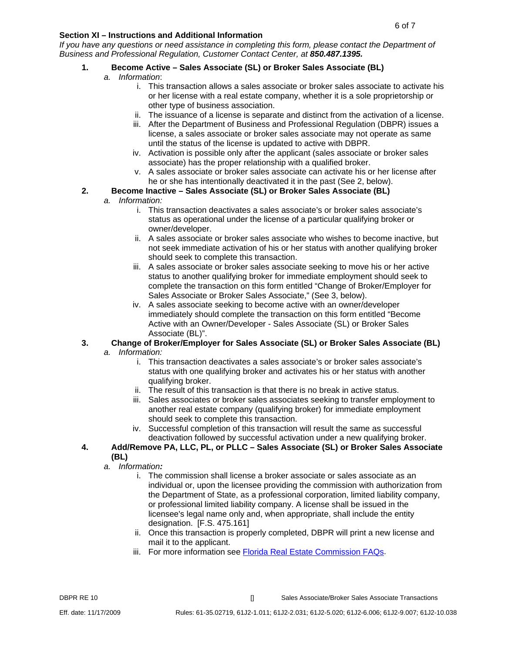## **Section XI – Instructions and Additional Information**

*If you have any questions or need assistance in completing this form, please contact the Department of Business and Professional Regulation, Customer Contact Center, at 850.487.1395.*

# **1. Become Active – Sales Associate (SL) or Broker Sales Associate (BL)**

- *a. Information*:
	- i. This transaction allows a sales associate or broker sales associate to activate his or her license with a real estate company, whether it is a sole proprietorship or other type of business association.
	- ii. The issuance of a license is separate and distinct from the activation of a license.
	- iii. After the Department of Business and Professional Regulation (DBPR) issues a license, a sales associate or broker sales associate may not operate as same until the status of the license is updated to active with DBPR.
	- iv. Activation is possible only after the applicant (sales associate or broker sales associate) has the proper relationship with a qualified broker.
	- v. A sales associate or broker sales associate can activate his or her license after he or she has intentionally deactivated it in the past (See 2, below).

## **2. Become Inactive – Sales Associate (SL) or Broker Sales Associate (BL)**

## *a. Information:*

- i. This transaction deactivates a sales associate's or broker sales associate's status as operational under the license of a particular qualifying broker or owner/developer.
- ii. A sales associate or broker sales associate who wishes to become inactive, but not seek immediate activation of his or her status with another qualifying broker should seek to complete this transaction.
- iii. A sales associate or broker sales associate seeking to move his or her active status to another qualifying broker for immediate employment should seek to complete the transaction on this form entitled "Change of Broker/Employer for Sales Associate or Broker Sales Associate," (See 3, below).
- iv. A sales associate seeking to become active with an owner/developer immediately should complete the transaction on this form entitled "Become Active with an Owner/Developer - Sales Associate (SL) or Broker Sales Associate (BL)".

# **3. Change of Broker/Employer for Sales Associate (SL) or Broker Sales Associate (BL)**

- *a. Information:* 
	- i. This transaction deactivates a sales associate's or broker sales associate's status with one qualifying broker and activates his or her status with another qualifying broker.
	- ii. The result of this transaction is that there is no break in active status.
	- iii. Sales associates or broker sales associates seeking to transfer employment to another real estate company (qualifying broker) for immediate employment should seek to complete this transaction.
	- iv. Successful completion of this transaction will result the same as successful deactivation followed by successful activation under a new qualifying broker.
- **4. Add/Remove PA, LLC, PL, or PLLC Sales Associate (SL) or Broker Sales Associate (BL)**
	- *a. Information:*
		- i. The commission shall license a broker associate or sales associate as an individual or, upon the licensee providing the commission with authorization from the Department of State, as a professional corporation, limited liability company, or professional limited liability company. A license shall be issued in the licensee's legal name only and, when appropriate, shall include the entity designation.[F.S. 475.161]
		- ii. Once this transaction is properly completed, DBPR will print a new license and mail it to the applicant.
		- iii. For more information see [Florida Real Estate Commission FAQs.](http://www.myfloridalicense.com/dbpr/re/documents/FREC_FAQs.pdf)

DBPR RE 10 **DBPR RE 10 Example 20 CONSIDER Associate Associate Associate Sales Associate Transactions**